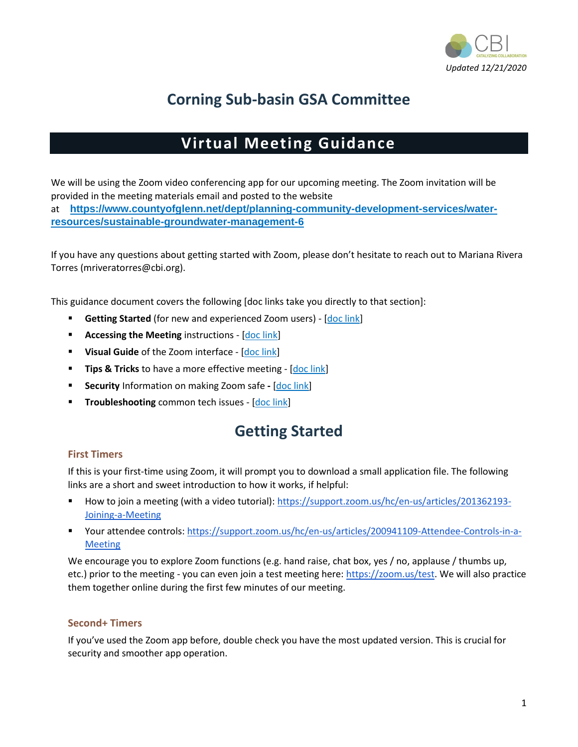

# **Corning Sub-basin GSA Committee**

# **Virtual Meeting Guidance**

<span id="page-0-1"></span>We will be using the Zoom video conferencing app for our upcoming meeting. The Zoom invitation will be provided in the meeting materials email and posted to the website at **[https://www.countyofglenn.net/dept/planning-community-development-services/water](https://www.countyofglenn.net/dept/planning-community-development-services/water-resources/sustainable-groundwater-management-6)[resources/sustainable-groundwater-management-6](https://www.countyofglenn.net/dept/planning-community-development-services/water-resources/sustainable-groundwater-management-6)**

If you have any questions about getting started with Zoom, please don't hesitate to reach out to Mariana Rivera Torres (mriveratorres@cbi.org).

This guidance document covers the following [doc links take you directly to that section]:

- **E** Getting Started (for new and experienced Zoom users) [\[doc link\]](#page-0-0)
- **Accessing the Meeting** instructions [\[doc link\]](#page-1-0)
- **Visual Guide** of the Zoom interface [\[doc link\]](#page-1-1)
- **Tips & Tricks** to have a more effective meeting [\[doc link\]](#page-2-0)
- **Security** Information on making Zoom safe **-** [\[doc link\]](#page-2-1)
- <span id="page-0-0"></span>**Troubleshooting** common tech issues - [\[doc link\]](#page-2-2)

## **Getting Started**

### **First Timers**

If this is your first-time using Zoom, it will prompt you to download a small application file. The following links are a short and sweet introduction to how it works, if helpful:

- How to join a meeting (with a video tutorial)[: https://support.zoom.us/hc/en-us/articles/201362193-](https://support.zoom.us/hc/en-us/articles/201362193-Joining-a-Meeting) [Joining-a-Meeting](https://support.zoom.us/hc/en-us/articles/201362193-Joining-a-Meeting)
- Your attendee controls: [https://support.zoom.us/hc/en-us/articles/200941109-Attendee-Controls-in-a-](https://support.zoom.us/hc/en-us/articles/200941109-Attendee-Controls-in-a-Meeting)[Meeting](https://support.zoom.us/hc/en-us/articles/200941109-Attendee-Controls-in-a-Meeting)

We encourage you to explore Zoom functions (e.g. hand raise, chat box, yes / no, applause / thumbs up, etc.) prior to the meeting - you can even join a test meeting here[: https://zoom.us/test.](https://zoom.us/test) We will also practice them together online during the first few minutes of our meeting.

#### **Second+ Timers**

If you've used the Zoom app before, double check you have the most updated version. This is crucial for security and smoother app operation.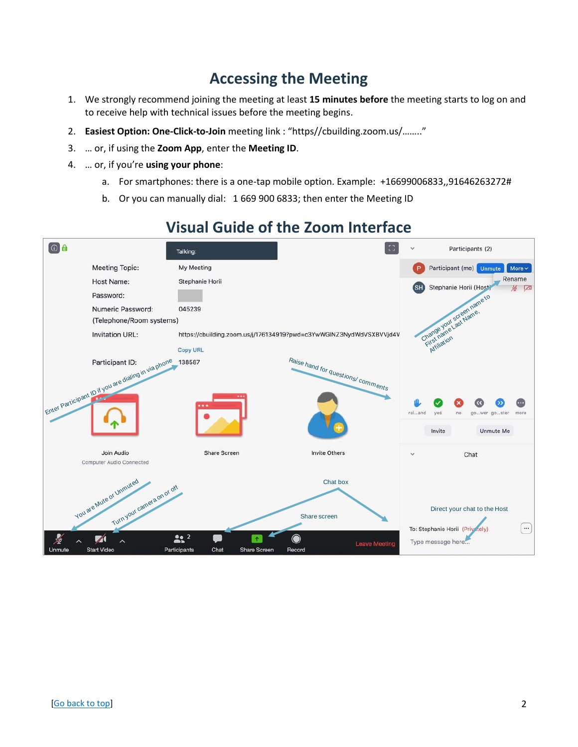# **Accessing the Meeting**

- <span id="page-1-0"></span>1. We strongly recommend joining the meeting at least **15 minutes before** the meeting starts to log on and to receive help with technical issues before the meeting begins.
- 2. **Easiest Option: One-Click-to-Join** meeting link : "https//cbuilding.zoom.us/…….."
- 3. … or, if using the **Zoom App**, enter the **Meeting ID**.
- 4. … or, if you're **using your phone**:
	- a. For smartphones: there is a one-tap mobile option. Example: +16699006833,,91646263272#
	- b. Or you can manually dial: 1 669 900 6833; then enter the Meeting ID

<span id="page-1-1"></span>

## **Visual Guide of the Zoom Interface**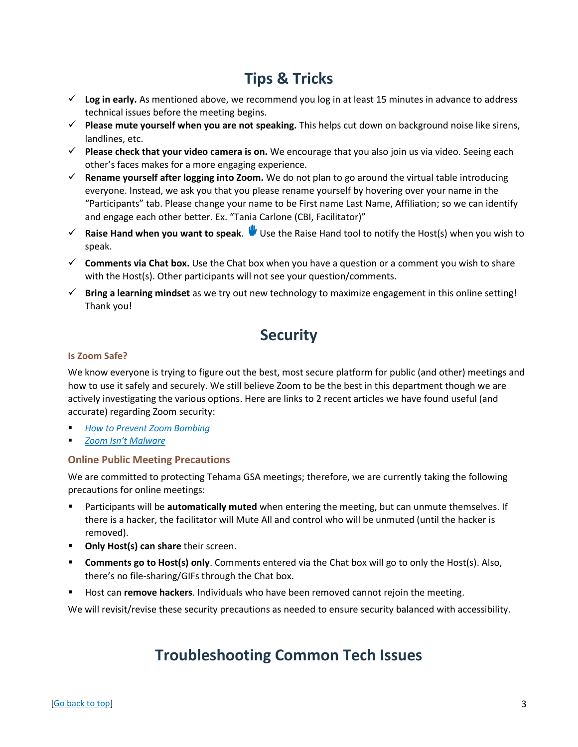# **Tips & Tricks**

- <span id="page-2-0"></span>✓ **Log in early.** As mentioned above, we recommend you log in at least 15 minutes in advance to address technical issues before the meeting begins.
- ✓ **Please mute yourself when you are not speaking.** This helps cut down on background noise like sirens, landlines, etc.
- ✓ **Please check that your video camera is on.** We encourage that you also join us via video. Seeing each other's faces makes for a more engaging experience.
- ✓ **Rename yourself after logging into Zoom.** We do not plan to go around the virtual table introducing everyone. Instead, we ask you that you please rename yourself by hovering over your name in the "Participants" tab. Please change your name to be First name Last Name, Affiliation; so we can identify and engage each other better. Ex. "Tania Carlone (CBI, Facilitator)"
- ✓ **Raise Hand when you want to speak**. Use the Raise Hand tool to notify the Host(s) when you wish to speak.
- ✓ **Comments via Chat box.** Use the Chat box when you have a question or a comment you wish to share with the Host(s). Other participants will not see your question/comments.
- <span id="page-2-1"></span>✓ **Bring a learning mindset** as we try out new technology to maximize engagement in this online setting! Thank you!

### **Security**

### **Is Zoom Safe?**

We know everyone is trying to figure out the best, most secure platform for public (and other) meetings and how to use it safely and securely. We still believe Zoom to be the best in this department though we are actively investigating the various options. Here are links to 2 recent articles we have found useful (and accurate) regarding Zoom security:

- **[How to Prevent Zoom Bombing](https://www.pcmag.com/how-to/how-to-prevent-zoom-bombing)**
- *[Zoom Isn't Malware](https://medium.com/@0xamit/zoom-isnt-malware-ae01618e2046)*

### **Online Public Meeting Precautions**

We are committed to protecting Tehama GSA meetings; therefore, we are currently taking the following precautions for online meetings:

- Participants will be **automatically muted** when entering the meeting, but can unmute themselves. If there is a hacker, the facilitator will Mute All and control who will be unmuted (until the hacker is removed).
- **Only Host(s) can share** their screen.
- **EXECOMMENTS FORM THE COMMENT COMMENTS** COMMENTS entered via the Chat box will go to only the Host(s). Also, there's no file-sharing/GIFs through the Chat box.
- Host can **remove hackers**. Individuals who have been removed cannot rejoin the meeting.

<span id="page-2-2"></span>We will revisit/revise these security precautions as needed to ensure security balanced with accessibility.

### **Troubleshooting Common Tech Issues**